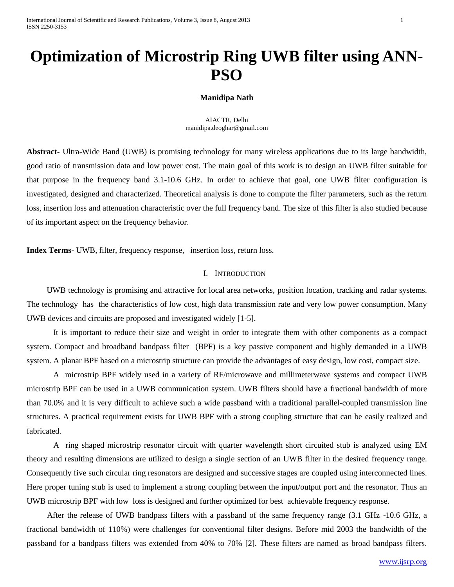# **Optimization of Microstrip Ring UWB filter using ANN-PSO**

## **Manidipa Nath**

AIACTR, Delhi manidipa.deoghar@gmail.com

**Abstract-** Ultra-Wide Band (UWB) is promising technology for many wireless applications due to its large bandwidth, good ratio of transmission data and low power cost. The main goal of this work is to design an UWB filter suitable for that purpose in the frequency band 3.1-10.6 GHz. In order to achieve that goal, one UWB filter configuration is investigated, designed and characterized. Theoretical analysis is done to compute the filter parameters, such as the return loss, insertion loss and attenuation characteristic over the full frequency band. The size of this filter is also studied because of its important aspect on the frequency behavior.

**Index Terms-** UWB, filter, frequency response, insertion loss, return loss.

# I. INTRODUCTION

UWB technology is promising and attractive for local area networks, position location, tracking and radar systems. The technology has the characteristics of low cost, high data transmission rate and very low power consumption. Many UWB devices and circuits are proposed and investigated widely [1-5].

It is important to reduce their size and weight in order to integrate them with other components as a compact system. Compact and broadband bandpass filter (BPF) is a key passive component and highly demanded in a UWB system. A planar BPF based on a microstrip structure can provide the advantages of easy design, low cost, compact size.

A microstrip BPF widely used in a variety of RF/microwave and millimeterwave systems and compact UWB microstrip BPF can be used in a UWB communication system. UWB filters should have a fractional bandwidth of more than 70.0% and it is very difficult to achieve such a wide passband with a traditional parallel-coupled transmission line structures. A practical requirement exists for UWB BPF with a strong coupling structure that can be easily realized and fabricated.

A ring shaped microstrip resonator circuit with quarter wavelength short circuited stub is analyzed using EM theory and resulting dimensions are utilized to design a single section of an UWB filter in the desired frequency range. Consequently five such circular ring resonators are designed and successive stages are coupled using interconnected lines. Here proper tuning stub is used to implement a strong coupling between the input/output port and the resonator. Thus an UWB microstrip BPF with low loss is designed and further optimized for best achievable frequency response.

After the release of UWB bandpass filters with a passband of the same frequency range (3.1 GHz -10.6 GHz, a fractional bandwidth of 110%) were challenges for conventional filter designs. Before mid 2003 the bandwidth of the passband for a bandpass filters was extended from 40% to 70% [2]. These filters are named as broad bandpass filters.

www.ijsrp.org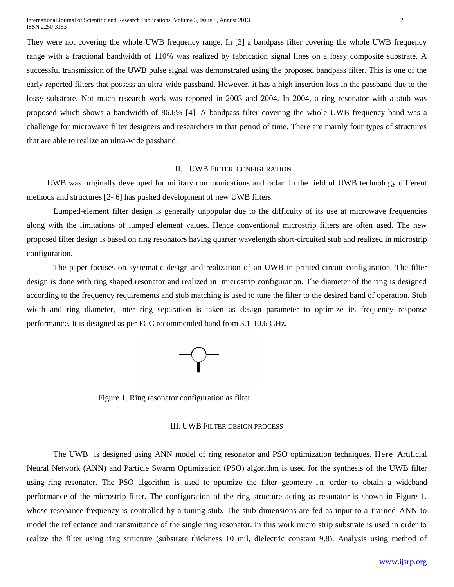They were not covering the whole UWB frequency range. In [3] a bandpass filter covering the whole UWB frequency range with a fractional bandwidth of 110% was realized by fabrication signal lines on a lossy composite substrate. A successful transmission of the UWB pulse signal was demonstrated using the proposed bandpass filter. This is one of the early reported filters that possess an ultra-wide passband. However, it has a high insertion loss in the passband due to the lossy substrate. Not much research work was reported in 2003 and 2004. In 2004, a ring resonator with a stub was proposed which shows a bandwidth of 86.6% [4]. A bandpass filter covering the whole UWB frequency band was a challenge for microwave filter designers and researchers in that period of time. There are mainly four types of structures that are able to realize an ultra-wide passband.

### II. UWB FILTER CONFIGURATION

UWB was originally developed for military communications and radar. In the field of UWB technology different methods and structures [2- 6] has pushed development of new UWB filters.

Lumped-element filter design is generally unpopular due to the difficulty of its use at microwave frequencies along with the limitations of lumped element values. Hence conventional microstrip filters are often used. The new proposed filter design is based on ring resonators having quarter wavelength short-circuited stub and realized in microstrip configuration.

The paper focuses on systematic design and realization of an UWB in printed circuit configuration. The filter design is done with ring shaped resonator and realized in microstrip configuration. The diameter of the ring is designed according to the frequency requirements and stub matching is used to tune the filter to the desired band of operation. Stub width and ring diameter, inter ring separation is taken as design parameter to optimize its frequency response performance. It is designed as per FCC recommended band from 3.1-10.6 GHz.



Figure 1. Ring resonator configuration as filter

### III. UWB FILTER DESIGN PROCESS

The UWB is designed using ANN model of ring resonator and PSO optimization techniques. Here Artificial Neural Network (ANN) and Particle Swarm Optimization (PSO) algorithm is used for the synthesis of the UWB filter using ring resonator. The PSO algorithm is used to optimize the filter geometry in order to obtain a wideband performance of the microstrip filter. The configuration of the ring structure acting as resonator is shown in Figure 1. whose resonance frequency is controlled by a tuning stub. The stub dimensions are fed as input to a trained ANN to model the reflectance and transmittance of the single ring resonator. In this work micro strip substrate is used in order to realize the filter using ring structure (substrate thickness 10 mil, dielectric constant 9.8). Analysis using method of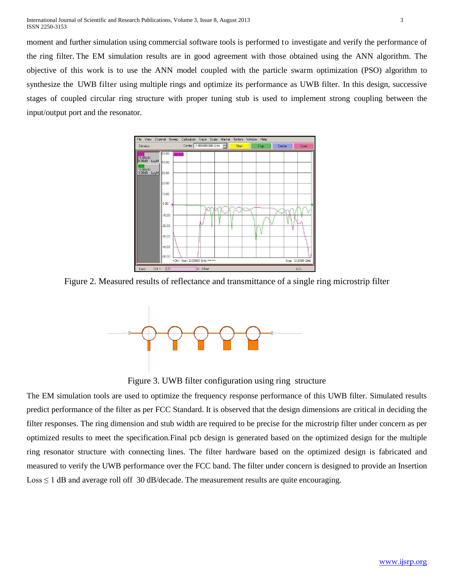moment and further simulation using commercial software tools is performed to investigate and verify the performance of the ring filter. The EM simulation results are in good agreement with those obtained using the ANN algorithm. The objective of this work is to use the ANN model coupled with the particle swarm optimization (PSO) algorithm to synthesize the UWB filter using multiple rings and optimize its performance as UWB filter. In this design, successive stages of coupled circular ring structure with proper tuning stub is used to implement strong coupling between the input/output port and the resonator.



Figure 2. Measured results of reflectance and transmittance of a single ring microstrip filter



Figure 3. UWB filter configuration using ring structure

The EM simulation tools are used to optimize the frequency response performance of this UWB filter. Simulated results predict performance of the filter as per FCC Standard. It is observed that the design dimensions are critical in deciding the filter responses. The ring dimension and stub width are required to be precise for the microstrip filter under concern as per optimized results to meet the specification.Final pcb design is generated based on the optimized design for the multiple ring resonator structure with connecting lines. The filter hardware based on the optimized design is fabricated and measured to verify the UWB performance over the FCC band. The filter under concern is designed to provide an Insertion  $Loss \leq 1$  dB and average roll off 30 dB/decade. The measurement results are quite encouraging.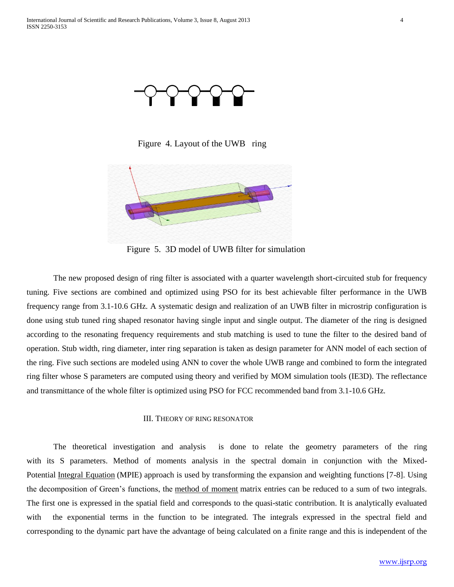

Figure 4. Layout of the UWB ring



Figure 5. 3D model of UWB filter for simulation

The new proposed design of ring filter is associated with a quarter wavelength short-circuited stub for frequency tuning. Five sections are combined and optimized using PSO for its best achievable filter performance in the UWB frequency range from 3.1-10.6 GHz. A systematic design and realization of an UWB filter in microstrip configuration is done using stub tuned ring shaped resonator having single input and single output. The diameter of the ring is designed according to the resonating frequency requirements and stub matching is used to tune the filter to the desired band of operation. Stub width, ring diameter, inter ring separation is taken as design parameter for ANN model of each section of the ring. Five such sections are modeled using ANN to cover the whole UWB range and combined to form the integrated ring filter whose S parameters are computed using theory and verified by MOM simulation tools (IE3D). The reflectance and transmittance of the whole filter is optimized using PSO for FCC recommended band from 3.1-10.6 GHz.

#### III. THEORY OF RING RESONATOR

The theoretical investigation and analysis is done to relate the geometry parameters of the ring with its S parameters. Method of moments analysis in the spectral domain in conjunction with the Mixed-Potential [Integral Equation](http://academic.research.microsoft.com/Keyword/20203/integral-equation) (MPIE) approach is used by transforming the expansion and weighting functions [7-8]. Using the decomposition of Green's functions, the [method of moment](http://academic.research.microsoft.com/Keyword/61765/method-of-moment) matrix entries can be reduced to a sum of two integrals. The first one is expressed in the spatial field and corresponds to the quasi-static contribution. It is analytically evaluated with the exponential terms in the function to be integrated. The integrals expressed in the spectral field and corresponding to the dynamic part have the advantage of being calculated on a finite range and this is independent of the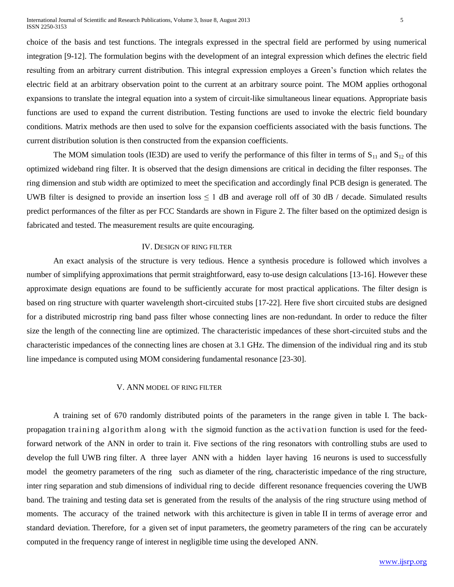choice of the basis and test functions. The integrals expressed in the spectral field are performed by using numerical integration [9-12]. The formulation begins with the development of an integral expression which defines the electric field resulting from an arbitrary current distribution. This integral expression employes a Green's function which relates the electric field at an arbitrary observation point to the current at an arbitrary source point. The MOM applies orthogonal expansions to translate the integral equation into a system of circuit-like simultaneous linear equations. Appropriate basis functions are used to expand the current distribution. Testing functions are used to invoke the electric field boundary conditions. Matrix methods are then used to solve for the expansion coefficients associated with the basis functions. The current distribution solution is then constructed from the expansion coefficients.

The MOM simulation tools (IE3D) are used to verify the performance of this filter in terms of  $S_{11}$  and  $S_{12}$  of this optimized wideband ring filter. It is observed that the design dimensions are critical in deciding the filter responses. The ring dimension and stub width are optimized to meet the specification and accordingly final PCB design is generated. The UWB filter is designed to provide an insertion loss  $\leq 1$  dB and average roll off of 30 dB / decade. Simulated results predict performances of the filter as per FCC Standards are shown in Figure 2. The filter based on the optimized design is fabricated and tested. The measurement results are quite encouraging.

### IV. DESIGN OF RING FILTER

An exact analysis of the structure is very tedious. Hence a synthesis procedure is followed which involves a number of simplifying approximations that permit straightforward, easy to-use design calculations [13-16]. However these approximate design equations are found to be sufficiently accurate for most practical applications. The filter design is based on ring structure with quarter wavelength short-circuited stubs [17-22]. Here five short circuited stubs are designed for a distributed microstrip ring band pass filter whose connecting lines are non-redundant. In order to reduce the filter size the length of the connecting line are optimized. The characteristic impedances of these short-circuited stubs and the characteristic impedances of the connecting lines are chosen at 3.1 GHz. The dimension of the individual ring and its stub line impedance is computed using MOM considering fundamental resonance [23-30].

### V. ANN MODEL OF RING FILTER

A training set of 670 randomly distributed points of the parameters in the range given in table I. The backpropagation training algorithm along with the sigmoid function as the activation function is used for the feedforward network of the ANN in order to train it. Five sections of the ring resonators with controlling stubs are used to develop the full UWB ring filter. A three layer ANN with a hidden layer having 16 neurons is used to successfully model the geometry parameters of the ring such as diameter of the ring, characteristic impedance of the ring structure, inter ring separation and stub dimensions of individual ring to decide different resonance frequencies covering the UWB band. The training and testing data set is generated from the results of the analysis of the ring structure using method of moments. The accuracy of the trained network with this architecture is given in table II in terms of average error and standard deviation. Therefore, for a given set of input parameters, the geometry parameters of the ring can be accurately computed in the frequency range of interest in negligible time using the developed ANN.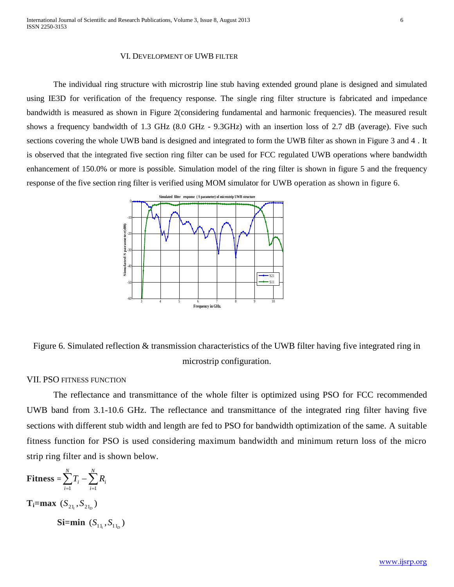#### VI. DEVELOPMENT OF UWB FILTER

The individual ring structure with microstrip line stub having extended ground plane is designed and simulated using IE3D for verification of the frequency response. The single ring filter structure is fabricated and impedance bandwidth is measured as shown in Figure 2(considering fundamental and harmonic frequencies). The measured result shows a frequency bandwidth of 1.3 GHz (8.0 GHz - 9.3GHz) with an insertion loss of 2.7 dB (average). Five such sections covering the whole UWB band is designed and integrated to form the UWB filter as shown in Figure 3 and 4 . It is observed that the integrated five section ring filter can be used for FCC regulated UWB operations where bandwidth enhancement of 150.0% or more is possible. Simulation model of the ring filter is shown in figure 5 and the frequency response of the five section ring filter is verified using MOM simulator for UWB operation as shown in figure 6.



Figure 6. Simulated reflection & transmission characteristics of the UWB filter having five integrated ring in microstrip configuration.

## VII. PSO FITNESS FUNCTION

The reflectance and transmittance of the whole filter is optimized using PSO for FCC recommended UWB band from 3.1-10.6 GHz. The reflectance and transmittance of the integrated ring filter having five sections with different stub width and length are fed to PSO for bandwidth optimization of the same. A suitable fitness function for PSO is used considering maximum bandwidth and minimum return loss of the micro strip ring filter and is shown below.

$$
\mathbf{Fitness} = \sum_{i=1}^{N} T_i - \sum_{i=1}^{N} R_i
$$

 $T_i = max (S_{21_i}, S_{21_D})$ 

 $\textbf{Si} = \textbf{min} \ (S_{11_i}, S_{11_D})$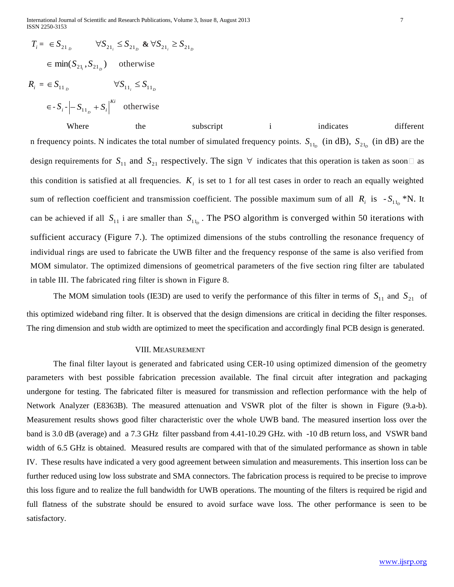International Journal of Scientific and Research Publications, Volume 3, Issue 8, August 2013 7 ISSN 2250-3153

 $= \epsilon S_{21}$   $\forall S_{21}$   $\leq S_{21}$   $\& \forall S_{21}$   $\geq S_{21}$  $\in$  min( $S_{2l_i}, S_{2l_i}$ ) otherwise  $R_i = \epsilon S_{11_D}$   $\forall S_{11_i} \leq S_{11_D}$  $\left| \sum_{i=1}^{n} S_i - \sum_{i=1}^{n} S_i \right|^{Ki}$  otherwise

Where the subscript i indicates different n frequency points. N indicates the total number of simulated frequency points.  $S_{11_D}$  (in dB),  $S_{21_D}$  (in dB) are the design requirements for  $S_{11}$  and  $S_{21}$  respectively. The sign  $\forall$  indicates that this operation is taken as soon  $\Box$  as this condition is satisfied at all frequencies.  $K<sub>i</sub>$  is set to 1 for all test cases in order to reach an equally weighted sum of reflection coefficient and transmission coefficient. The possible maximum sum of all  $R_i$  is  $-S_{11}$  \*N. It can be achieved if all  $S_{11}$  i are smaller than  $S_{11}$ . The PSO algorithm is converged within 50 iterations with sufficient accuracy (Figure 7.). The optimized dimensions of the stubs controlling the resonance frequency of individual rings are used to fabricate the UWB filter and the frequency response of the same is also verified from MOM simulator. The optimized dimensions of geometrical parameters of the five section ring filter are tabulated in table III. The fabricated ring filter is shown in Figure 8.

The MOM simulation tools (IE3D) are used to verify the performance of this filter in terms of  $S_{11}$  and  $S_{21}$  of this optimized wideband ring filter. It is observed that the design dimensions are critical in deciding the filter responses. The ring dimension and stub width are optimized to meet the specification and accordingly final PCB design is generated.

#### VIII. MEASUREMENT

T=  $65x_{1y}$   $y = 55x_{1y}$  & 55x<sub>1</sub>,  $\Delta$  is  $y = 5x_{1y}$ <br>  $y = 45x_{1y}$ <br>  $y = 45x_{1y}$ <br>  $y = 45x_{1y}$ <br>  $y = 5x_{1y}$ <br>  $y = 5x_{1y}$ <br>  $y = 5x_{1y}$ <br>  $y = 5x_{1y}$ <br>
Where the strengthenes of the strengthenes of strengthenes of the stre The final filter layout is generated and fabricated using CER-10 using optimized dimension of the geometry parameters with best possible fabrication precession available. The final circuit after integration and packaging undergone for testing. The fabricated filter is measured for transmission and reflection performance with the help of Network Analyzer (E8363B). The measured attenuation and VSWR plot of the filter is shown in Figure (9.a-b). Measurement results shows good filter characteristic over the whole UWB band. The measured insertion loss over the band is 3.0 dB (average) and a 7.3 GHz filter passband from 4.41-10.29 GHz. with -10 dB return loss, and VSWR band width of 6.5 GHz is obtained. Measured results are compared with that of the simulated performance as shown in table IV. These results have indicated a very good agreement between simulation and measurements. This insertion loss can be further reduced using low loss substrate and SMA connectors. The fabrication process is required to be precise to improve this loss figure and to realize the full bandwidth for UWB operations. The mounting of the filters is required be rigid and full flatness of the substrate should be ensured to avoid surface wave loss. The other performance is seen to be satisfactory.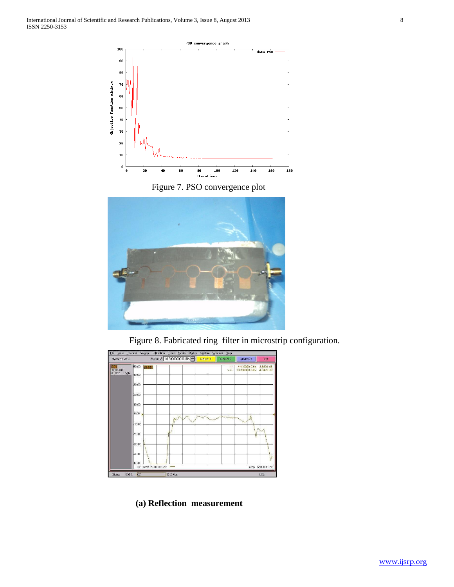





Figure 8. Fabricated ring filter in microstrip configuration.



 **(a) Reflection measurement**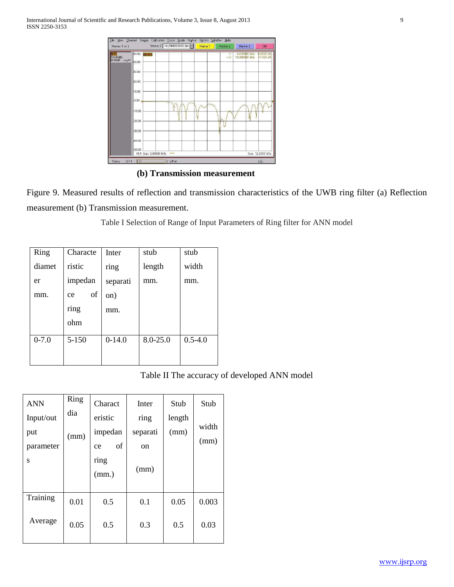

**(b) Transmission measurement**

Figure 9. Measured results of reflection and transmission characteristics of the UWB ring filter (a) Reflection measurement (b) Transmission measurement.

Table I Selection of Range of Input Parameters of Ring filter for ANN model

| Ring      | Characte  | Inter    | stub         | stub        |
|-----------|-----------|----------|--------------|-------------|
| diamet    | ristic    | ring     | length       | width       |
| er        | impedan   | separati | mm.          | mm.         |
| mm.       | of<br>ce  | on)      |              |             |
|           | ring      | mm.      |              |             |
|           | ohm       |          |              |             |
| $0 - 7.0$ | $5 - 150$ | $0-14.0$ | $8.0 - 25.0$ | $0.5 - 4.0$ |
|           |           |          |              |             |

# Table II The accuracy of developed ANN model

| <b>ANN</b> | Ring | Charact       | Inter    | Stub   | Stub  |
|------------|------|---------------|----------|--------|-------|
| Input/out  | dia  | eristic       | ring     | length |       |
| put        | (mm) | impedan       | separati | (mm)   | width |
| parameter  |      | of<br>ce      | on       |        | (mm)  |
| S          |      | ring<br>(mm.) | (mm)     |        |       |
| Training   | 0.01 | 0.5           | 0.1      | 0.05   | 0.003 |
| Average    | 0.05 | 0.5           | 0.3      | 0.5    | 0.03  |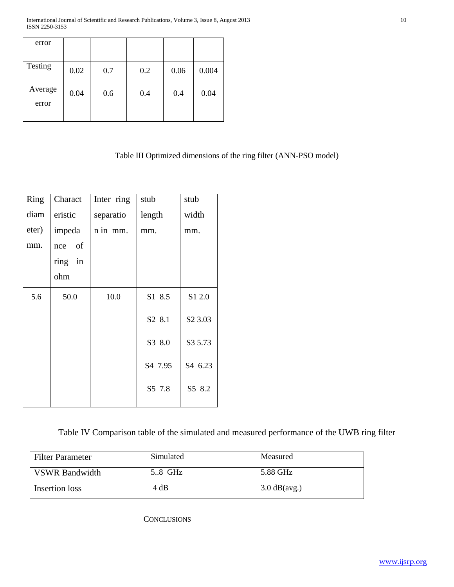| error            |      |     |     |      |       |
|------------------|------|-----|-----|------|-------|
| Testing          | 0.02 | 0.7 | 0.2 | 0.06 | 0.004 |
| Average<br>error | 0.04 | 0.6 | 0.4 | 0.4  | 0.04  |

# Table III Optimized dimensions of the ring filter (ANN-PSO model)

| Ring  | Charact | Inter ring | stub    | stub                |
|-------|---------|------------|---------|---------------------|
| diam  | eristic | separatio  | length  | width               |
| eter) | impeda  | n in mm.   | mm.     | mm.                 |
| mm.   | nce of  |            |         |                     |
|       | ring in |            |         |                     |
|       | ohm     |            |         |                     |
| 5.6   | 50.0    | 10.0       | S1 8.5  | S1 2.0              |
|       |         |            | S2 8.1  | S <sub>2</sub> 3.03 |
|       |         |            | S3 8.0  | S3 5.73             |
|       |         |            | S4 7.95 | S4 6.23             |
|       |         |            | S5 7.8  | S5 8.2              |
|       |         |            |         |                     |

Table IV Comparison table of the simulated and measured performance of the UWB ring filter

| <b>Filter Parameter</b> | Simulated | Measured       |
|-------------------------|-----------|----------------|
| <b>VSWR Bandwidth</b>   | 5.8 GHz   | 5.88 GHz       |
| Insertion loss          | 4 dB      | $3.0$ dB(avg.) |

**CONCLUSIONS**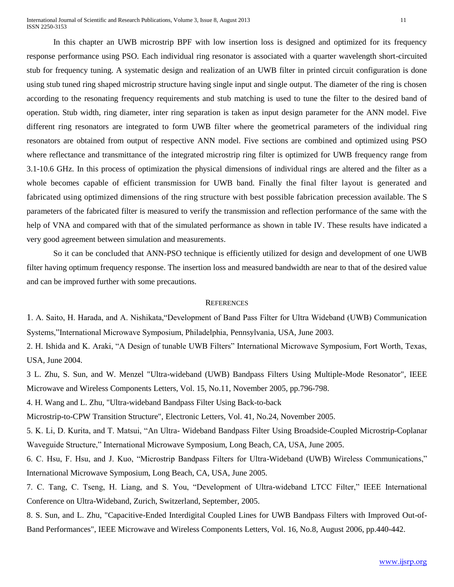International Journal of Scientific and Research Publications, Volume 3, Issue 8, August 2013 11 ISSN 2250-3153

In this chapter an UWB microstrip BPF with low insertion loss is designed and optimized for its frequency response performance using PSO. Each individual ring resonator is associated with a quarter wavelength short-circuited stub for frequency tuning. A systematic design and realization of an UWB filter in printed circuit configuration is done using stub tuned ring shaped microstrip structure having single input and single output. The diameter of the ring is chosen according to the resonating frequency requirements and stub matching is used to tune the filter to the desired band of operation. Stub width, ring diameter, inter ring separation is taken as input design parameter for the ANN model. Five different ring resonators are integrated to form UWB filter where the geometrical parameters of the individual ring resonators are obtained from output of respective ANN model. Five sections are combined and optimized using PSO where reflectance and transmittance of the integrated microstrip ring filter is optimized for UWB frequency range from 3.1-10.6 GHz. In this process of optimization the physical dimensions of individual rings are altered and the filter as a whole becomes capable of efficient transmission for UWB band. Finally the final filter layout is generated and fabricated using optimized dimensions of the ring structure with best possible fabrication precession available. The S parameters of the fabricated filter is measured to verify the transmission and reflection performance of the same with the help of VNA and compared with that of the simulated performance as shown in table IV. These results have indicated a very good agreement between simulation and measurements.

So it can be concluded that ANN-PSO technique is efficiently utilized for design and development of one UWB filter having optimum frequency response. The insertion loss and measured bandwidth are near to that of the desired value and can be improved further with some precautions.

#### **REFERENCES**

1. A. Saito, H. Harada, and A. Nishikata,"Development of Band Pass Filter for Ultra Wideband (UWB) Communication Systems,"International Microwave Symposium, Philadelphia, Pennsylvania, USA, June 2003.

2. H. Ishida and K. Araki, "A Design of tunable UWB Filters" International Microwave Symposium, Fort Worth, Texas, USA, June 2004.

3 L. Zhu, S. Sun, and W. Menzel "Ultra-wideband (UWB) Bandpass Filters Using Multiple-Mode Resonator", IEEE Microwave and Wireless Components Letters, Vol. 15, No.11, November 2005, pp.796-798.

4. H. Wang and L. Zhu, "Ultra-wideband Bandpass Filter Using Back-to-back

Microstrip-to-CPW Transition Structure", Electronic Letters, Vol. 41, No.24, November 2005.

5. K. Li, D. Kurita, and T. Matsui, "An Ultra- Wideband Bandpass Filter Using Broadside-Coupled Microstrip-Coplanar Waveguide Structure," International Microwave Symposium, Long Beach, CA, USA, June 2005.

6. C. Hsu, F. Hsu, and J. Kuo, "Microstrip Bandpass Filters for Ultra-Wideband (UWB) Wireless Communications," International Microwave Symposium, Long Beach, CA, USA, June 2005.

7. C. Tang, C. Tseng, H. Liang, and S. You, "Development of Ultra-wideband LTCC Filter," IEEE International Conference on Ultra-Wideband, Zurich, Switzerland, September, 2005.

8. S. Sun, and L. Zhu, "Capacitive-Ended Interdigital Coupled Lines for UWB Bandpass Filters with Improved Out-of-Band Performances", IEEE Microwave and Wireless Components Letters, Vol. 16, No.8, August 2006, pp.440-442.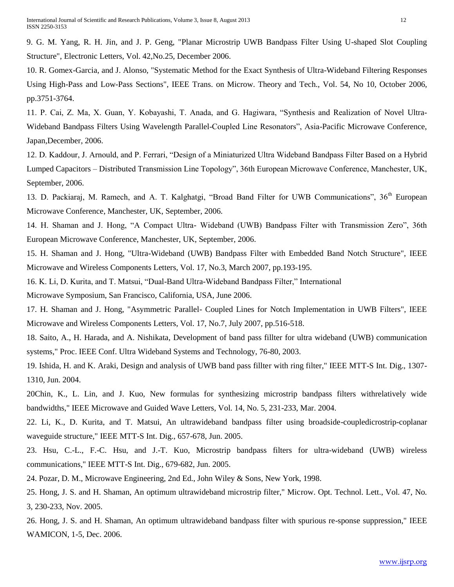9. G. M. Yang, R. H. Jin, and J. P. Geng, "Planar Microstrip UWB Bandpass Filter Using U-shaped Slot Coupling Structure", Electronic Letters, Vol. 42,No.25, December 2006.

10. R. Gomex-Garcia, and J. Alonso, "Systematic Method for the Exact Synthesis of Ultra-Wideband Filtering Responses Using High-Pass and Low-Pass Sections", IEEE Trans. on Microw. Theory and Tech., Vol. 54, No 10, October 2006, pp.3751-3764.

11. P. Cai, Z. Ma, X. Guan, Y. Kobayashi, T. Anada, and G. Hagiwara, "Synthesis and Realization of Novel Ultra-Wideband Bandpass Filters Using Wavelength Parallel-Coupled Line Resonators", Asia-Pacific Microwave Conference, Japan,December, 2006.

12. D. Kaddour, J. Arnould, and P. Ferrari, "Design of a Miniaturized Ultra Wideband Bandpass Filter Based on a Hybrid Lumped Capacitors – Distributed Transmission Line Topology", 36th European Microwave Conference, Manchester, UK, September, 2006.

13. D. Packiaraj, M. Ramech, and A. T. Kalghatgi, "Broad Band Filter for UWB Communications", 36<sup>th</sup> European Microwave Conference, Manchester, UK, September, 2006.

14. H. Shaman and J. Hong, "A Compact Ultra- Wideband (UWB) Bandpass Filter with Transmission Zero", 36th European Microwave Conference, Manchester, UK, September, 2006.

15. H. Shaman and J. Hong, "Ultra-Wideband (UWB) Bandpass Filter with Embedded Band Notch Structure", IEEE Microwave and Wireless Components Letters, Vol. 17, No.3, March 2007, pp.193-195.

16. K. Li, D. Kurita, and T. Matsui, "Dual-Band Ultra-Wideband Bandpass Filter," International

Microwave Symposium, San Francisco, California, USA, June 2006.

17. H. Shaman and J. Hong, "Asymmetric Parallel- Coupled Lines for Notch Implementation in UWB Filters", IEEE Microwave and Wireless Components Letters, Vol. 17, No.7, July 2007, pp.516-518.

18. Saito, A., H. Harada, and A. Nishikata, Development of band pass fillter for ultra wideband (UWB) communication systems," Proc. IEEE Conf. Ultra Wideband Systems and Technology, 76-80, 2003.

19. Ishida, H. and K. Araki, Design and analysis of UWB band pass fillter with ring filter," IEEE MTT-S Int. Dig., 1307- 1310, Jun. 2004.

20Chin, K., L. Lin, and J. Kuo, New formulas for synthesizing microstrip bandpass filters withrelatively wide bandwidths," IEEE Microwave and Guided Wave Letters, Vol. 14, No. 5, 231-233, Mar. 2004.

22. Li, K., D. Kurita, and T. Matsui, An ultrawideband bandpass filter using broadside-coupledicrostrip-coplanar waveguide structure," IEEE MTT-S Int. Dig., 657-678, Jun. 2005.

23. Hsu, C.-L., F.-C. Hsu, and J.-T. Kuo, Microstrip bandpass filters for ultra-wideband (UWB) wireless communications," IEEE MTT-S Int. Dig., 679-682, Jun. 2005.

24. Pozar, D. M., Microwave Engineering, 2nd Ed., John Wiley & Sons, New York, 1998.

25. Hong, J. S. and H. Shaman, An optimum ultrawideband microstrip filter," Microw. Opt. Technol. Lett., Vol. 47, No. 3, 230-233, Nov. 2005.

26. Hong, J. S. and H. Shaman, An optimum ultrawideband bandpass filter with spurious re-sponse suppression," IEEE WAMICON, 1-5, Dec. 2006.